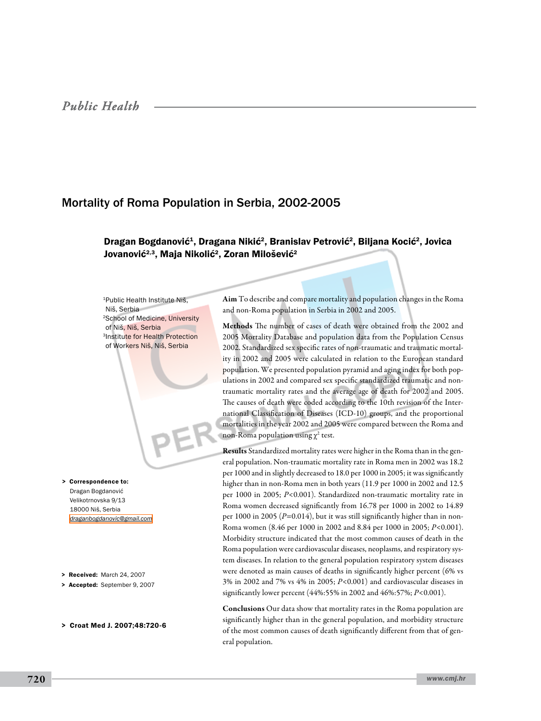# Mortality of Roma Population in Serbia, 2002-2005

## Dragan Bogdanović<sup>1</sup>, Dragana Nikić<sup>2</sup>, Branislav Petrović<sup>2</sup>, Biljana Kocić<sup>2</sup>, Jovica Jovanović<sup>2,3</sup>, Maja Nikolić<sup>2</sup>, Zoran Milošević<sup>2</sup>

1Public Health Institute Niš, Niš, Serbia 2School of Medicine, University of Niš, Niš, Serbia 3Institute for Health Protection of Workers Niš, Niš, Serbia

> Correspondence to: Dragan Bogdanović Velikotrnovska 9/13 18000 Niš, Serbia *[draganbogdanovic@gmail.com](mailto: draganbogdanovic@gmail.com )*

- > Received: March 24, 2007
- > Accepted: September 9, 2007
- > Croat Med J. 2007;48:720-6

Aim To describe and compare mortality and population changes in the Roma and non-Roma population in Serbia in 2002 and 2005.

Methods The number of cases of death were obtained from the 2002 and 2005 Mortality Database and population data from the Population Census 2002. Standardized sex specific rates of non-traumatic and traumatic mortality in 2002 and 2005 were calculated in relation to the European standard population. We presented population pyramid and aging index for both populations in 2002 and compared sex specific standardized traumatic and nontraumatic mortality rates and the average age of death for 2002 and 2005. The causes of death were coded according to the 10th revision of the International Classification of Diseases (ICD-10) groups, and the proportional mortalities in the year 2002 and 2005 were compared between the Roma and non-Roma population using  $\chi^2$  test.

Results Standardized mortality rates were higher in the Roma than in the general population. Non-traumatic mortality rate in Roma men in 2002 was 18.2 per 1000 and in slightly decreased to 18.0 per 1000 in 2005; it was significantly higher than in non-Roma men in both years (11.9 per 1000 in 2002 and 12.5 per 1000 in 2005; *P*<0.001). Standardized non-traumatic mortality rate in Roma women decreased significantly from 16.78 per 1000 in 2002 to 14.89 per 1000 in 2005 (*P*=0.014), but it was still significantly higher than in non-Roma women (8.46 per 1000 in 2002 and 8.84 per 1000 in 2005; *P*<0.001). Morbidity structure indicated that the most common causes of death in the Roma population were cardiovascular diseases, neoplasms, and respiratory system diseases. In relation to the general population respiratory system diseases were denoted as main causes of deaths in significantly higher percent (6% vs 3% in 2002 and 7% vs 4% in 2005; *P*<0.001) and cardiovascular diseases in significantly lower percent (44%:55% in 2002 and 46%:57%; *P*<0.001).

Conclusions Our data show that mortality rates in the Roma population are significantly higher than in the general population, and morbidity structure of the most common causes of death significantly different from that of general population.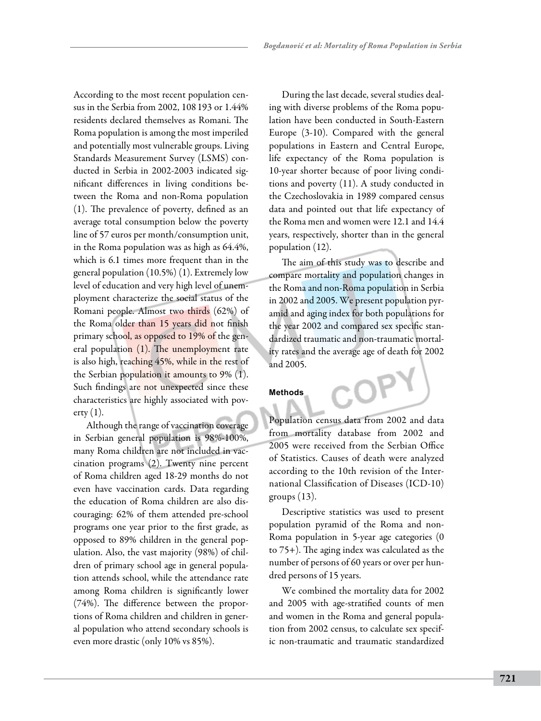According to the most recent population census in the Serbia from 2002, 108 193 or 1.44% residents declared themselves as Romani. The Roma population is among the most imperiled and potentially most vulnerable groups. Living Standards Measurement Survey (LSMS) conducted in Serbia in 2002-2003 indicated significant differences in living conditions between the Roma and non-Roma population (1). The prevalence of poverty, defined as an average total consumption below the poverty line of 57 euros per month/consumption unit, in the Roma population was as high as 64.4%, which is 6.1 times more frequent than in the general population (10.5%) (1). Extremely low level of education and very high level of unemployment characterize the social status of the Romani people. Almost two thirds (62%) of the Roma older than 15 years did not finish primary school, as opposed to 19% of the general population (1). The unemployment rate is also high, reaching 45%, while in the rest of the Serbian population it amounts to 9% (1). Such findings are not unexpected since these characteristics are highly associated with pov- $\text{erty}(1)$ .

Although the range of vaccination coverage in Serbian general population is 98%-100%, many Roma children are not included in vaccination programs (2). Twenty nine percent of Roma children aged 18-29 months do not even have vaccination cards. Data regarding the education of Roma children are also discouraging: 62% of them attended pre-school programs one year prior to the first grade, as opposed to 89% children in the general population. Also, the vast majority (98%) of children of primary school age in general population attends school, while the attendance rate among Roma children is significantly lower (74%). The difference between the proportions of Roma children and children in general population who attend secondary schools is even more drastic (only 10% vs 85%).

During the last decade, several studies dealing with diverse problems of the Roma population have been conducted in South-Eastern Europe (3-10). Compared with the general populations in Eastern and Central Europe, life expectancy of the Roma population is 10-year shorter because of poor living conditions and poverty (11). A study conducted in the Czechoslovakia in 1989 compared census data and pointed out that life expectancy of the Roma men and women were 12.1 and 14.4 years, respectively, shorter than in the general population (12).

The aim of this study was to describe and compare mortality and population changes in the Roma and non-Roma population in Serbia in 2002 and 2005. We present population pyramid and aging index for both populations for the year 2002 and compared sex specific standardized traumatic and non-traumatic mortality rates and the average age of death for 2002 and 2005.

### **Methods**

Population census data from 2002 and data from mortality database from 2002 and 2005 were received from the Serbian Office of Statistics. Causes of death were analyzed according to the 10th revision of the International Classification of Diseases (ICD-10) groups  $(13)$ .

Descriptive statistics was used to present population pyramid of the Roma and non-Roma population in 5-year age categories (0 to 75+). The aging index was calculated as the number of persons of 60 years or over per hundred persons of 15 years.

We combined the mortality data for 2002 and 2005 with age-stratified counts of men and women in the Roma and general population from 2002 census, to calculate sex specific non-traumatic and traumatic standardized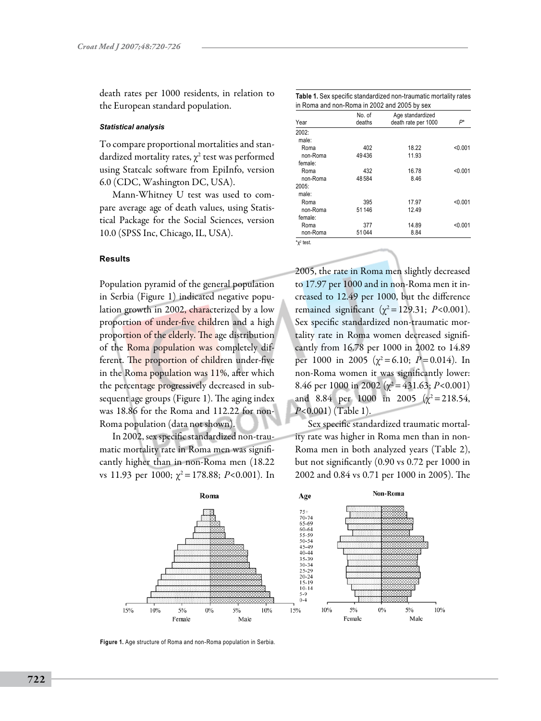death rates per 1000 residents, in relation to the European standard population.

#### *Statistical analysis*

To compare proportional mortalities and standardized mortality rates,  $\chi^2$  test was performed using Statcalc software from EpiInfo, version 6.0 (CDC, Washington DC, USA).

Mann-Whitney U test was used to compare average age of death values, using Statistical Package for the Social Sciences, version 10.0 (SPSS Inc, Chicago, IL, USA).

### **Results**

Population pyramid of the general population in Serbia (Figure 1) indicated negative population growth in 2002, characterized by a low proportion of under-five children and a high proportion of the elderly. The age distribution of the Roma population was completely different. The proportion of children under-five in the Roma population was 11%, after which the percentage progressively decreased in subsequent age groups (Figure 1). The aging index was 18.86 for the Roma and 112.22 for non-Roma population (data not shown).

In 2002, sex specific standardized non-traumatic mortality rate in Roma men was significantly higher than in non-Roma men (18.22 vs 11.93 per 1000;  $\chi^2$  = 178.88; *P*<0.001). In

| Table 1. Sex specific standardized non-traumatic mortality rates |  |
|------------------------------------------------------------------|--|
| in Roma and non-Roma in 2002 and 2005 by sex                     |  |

| Year     | No. of<br>deaths | Age standardized<br>death rate per 1000 | $P^*$   |
|----------|------------------|-----------------------------------------|---------|
| 2002:    |                  |                                         |         |
| male:    |                  |                                         |         |
| Roma     | 402              | 18.22                                   | < 0.001 |
| non-Roma | 49436            | 11.93                                   |         |
| female:  |                  |                                         |         |
| Roma     | 432              | 16.78                                   | < 0.001 |
| non-Roma | 48584            | 8.46                                    |         |
| 2005:    |                  |                                         |         |
| male:    |                  |                                         |         |
| Roma     | 395              | 17.97                                   | < 0.001 |
| non-Roma | 51 146           | 12.49                                   |         |
| female:  |                  |                                         |         |
| Roma     | 377              | 14.89                                   | < 0.001 |
| non-Roma | 51044            | 8.84                                    |         |
|          |                  |                                         |         |

 $x^2$  test.

2005, the rate in Roma men slightly decreased to 17.97 per 1000 and in non-Roma men it increased to 12.49 per 1000, but the difference remained significant ( $χ² = 129.31$ ; *P*<0.001). Sex specific standardized non-traumatic mortality rate in Roma women decreased significantly from 16.78 per 1000 in 2002 to 14.89 per 1000 in 2005 ( $\chi^2$ =6.10; *P*=0.014). In non-Roma women it was significantly lower: 8.46 per 1000 in 2002 ( $\chi^2$  = 431.63; *P*<0.001) and 8.84 per 1000 in 2005 ( $\chi^2$ = 218.54, *P*<0.001) (Table 1).

Sex specific standardized traumatic mortality rate was higher in Roma men than in non-Roma men in both analyzed years (Table 2), but not significantly (0.90 vs 0.72 per 1000 in 2002 and 0.84 vs 0.71 per 1000 in 2005). The



**Figure 1.** Age structure of Roma and non-Roma population in Serbia.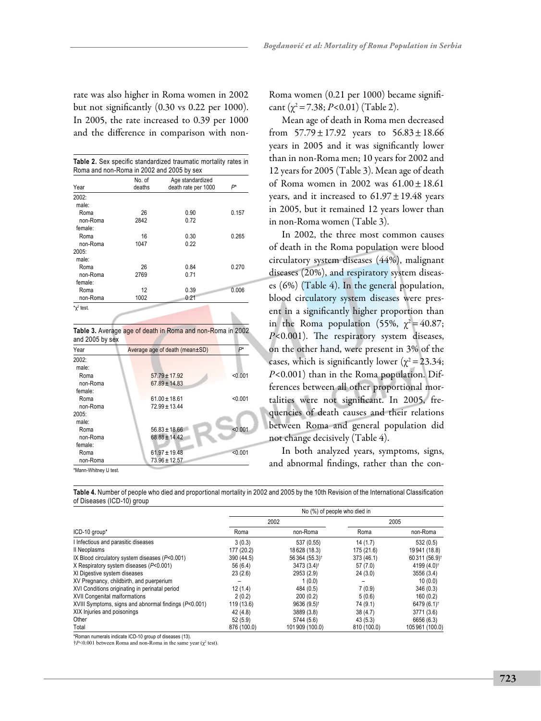rate was also higher in Roma women in 2002 but not significantly (0.30 vs 0.22 per 1000). In 2005, the rate increased to 0.39 per 1000 and the difference in comparison with non-

|          | No. of | Age standardized    |       |  |
|----------|--------|---------------------|-------|--|
| Year     | deaths | death rate per 1000 | P*    |  |
| 2002:    |        |                     |       |  |
| male:    |        |                     |       |  |
| Roma     | 26     | 0.90                | 0.157 |  |
| non-Roma | 2842   | 0.72                |       |  |
| female:  |        |                     |       |  |
| Roma     | 16     | 0.30                | 0.265 |  |
| non-Roma | 1047   | 0.22                |       |  |
| 2005:    |        |                     |       |  |
| male:    |        |                     |       |  |
| Roma     | 26     | 0.84                | 0.270 |  |
| non-Roma | 2769   | 0.71                |       |  |
| female:  |        |                     |       |  |
| Roma     | 12     | 0.39                | 0.006 |  |
| non-Roma | 1002   | 0.21                |       |  |

**Table 3.** Average age of death in Roma and non-Roma in 2002 and 2005 by sex

| Year     | Average age of death (mean±SD) |         |  |
|----------|--------------------------------|---------|--|
| 2002:    |                                |         |  |
| male:    |                                |         |  |
| Roma     | $57.79 \pm 17.92$              | < 0.001 |  |
| non-Roma | $67.89 \pm 14.83$              |         |  |
| female:  |                                |         |  |
| Roma     | $61.00 \pm 18.61$              | < 0.001 |  |
| non-Roma | $72.99 \pm 13.44$              |         |  |
| 2005:    |                                |         |  |
| male:    |                                |         |  |
| Roma     | $56.83 \pm 18.66$              | < 0.001 |  |
| non-Roma | $68.88 \pm 14.42$              |         |  |
| female:  |                                |         |  |
| Roma     | $61.97 \pm 19.48$              | < 0.001 |  |
| non-Roma | $73.96 \pm 12.57$              |         |  |

\*Mann-Whitney U test.

Roma women (0.21 per 1000) became significant  $(\chi^2 = 7.38; P < 0.01)$  (Table 2).

Mean age of death in Roma men decreased from  $57.79 \pm 17.92$  years to  $56.83 \pm 18.66$ years in 2005 and it was significantly lower than in non-Roma men; 10 years for 2002 and 12 years for 2005 (Table 3). Mean age of death of Roma women in 2002 was  $61.00 \pm 18.61$ years, and it increased to  $61.97 \pm 19.48$  years in 2005, but it remained 12 years lower than in non-Roma women (Table 3).

In 2002, the three most common causes of death in the Roma population were blood circulatory system diseases (44%), malignant diseases (20%), and respiratory system diseases (6%) (Table 4). In the general population, blood circulatory system diseases were present in a significantly higher proportion than in the Roma population (55%,  $\gamma^2 = 40.87$ ; *P*<0.001). The respiratory system diseases, on the other hand, were present in 3% of the cases, which is significantly lower ( $\chi^2$  = 23.34; *P*<0.001) than in the Roma population. Differences between all other proportional mortalities were not significant. In 2005, frequencies of death causes and their relations between Roma and general population did not change decisively (Table 4).

In both analyzed years, symptoms, signs, and abnormal findings, rather than the con-

**Table 4.** Number of people who died and proportional mortality in 2002 and 2005 by the 10th Revision of the International Classification of Diseases (ICD-10) group

|                                                       | No (%) of people who died in |                            |             |                           |
|-------------------------------------------------------|------------------------------|----------------------------|-------------|---------------------------|
| ICD-10 group*                                         | 2002                         |                            | 2005        |                           |
|                                                       | Roma                         | non-Roma                   | Roma        | non-Roma                  |
| I Infectious and parasitic diseases                   | 3(0.3)                       | 537 (0.55)                 | 14(1.7)     | 532(0.5)                  |
| II Neoplasms                                          | 177 (20.2)                   | 18628 (18.3)               | 175 (21.6)  | 19941 (18.8)              |
| IX Blood circulatory system diseases (P<0.001)        | 390 (44.5)                   | 56 364 (55.3) <sup>†</sup> | 373 (46.1)  | 60311 (56.9) <sup>†</sup> |
| X Respiratory system diseases (P<0.001)               | 56 (6.4)                     | 3473 (3.4) <sup>†</sup>    | 57(7.0)     | 4199 (4.0) <sup>t</sup>   |
| XI Digestive system diseases                          | 23(2.6)                      | 2953 (2.9)                 | 24(3.0)     | 3556 (3.4)                |
| XV Pregnancy, childbirth, and puerperium              |                              | 1(0.0)                     |             | 10(0.0)                   |
| XVI Conditions originating in perinatal period        | 12(1.4)                      | 484 (0.5)                  | 7(0.9)      | 346(0.3)                  |
| XVII Congenital malformations                         | 2(0.2)                       | 200(0.2)                   | 5(0.6)      | 160(0.2)                  |
| XVIII Symptoms, signs and abnormal findings (P<0.001) | 119 (13.6)                   | 9636 (9.5) <sup>†</sup>    | 74 (9.1)    | 6479 (6.1) <sup>†</sup>   |
| XIX Injuries and poisonings                           | 42 (4.8)                     | 3889 (3.8)                 | 38(4.7)     | 3771 (3.6)                |
| Other                                                 | 52(5.9)                      | 5744 (5.6)                 | 43(5.3)     | 6656 (6.3)                |
| Total                                                 | 876 (100.0)                  | 101909 (100.0)             | 810 (100.0) | 105961 (100.0)            |

\*Roman numerals indicate ICD-10 group of diseases (13).

 $\frac{1}{2}P \leq 0.001$  between Roma and non-Roma in the same year ( $\chi^2$  test).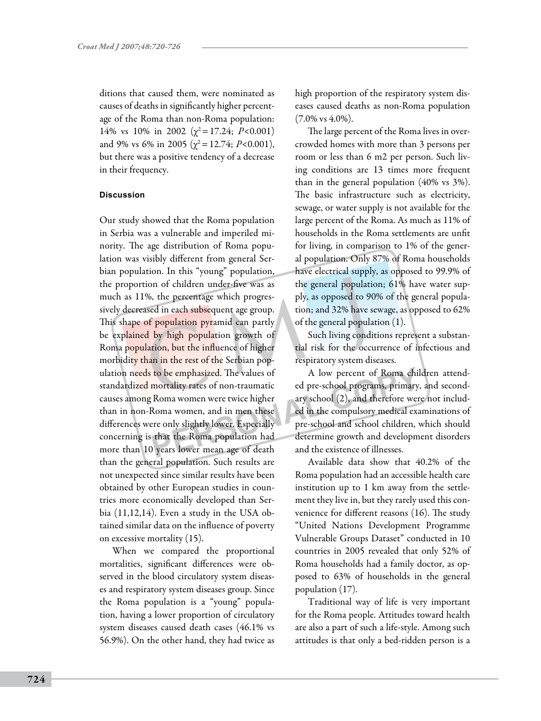ditions that caused them, were nominated as causes of deaths in significantly higher percentage of the Roma than non-Roma population: 14% vs 10% in 2002 ( $\chi^2$ =17.24; *P*<0.001) and 9% vs 6% in 2005 ( $\chi^2$  = 12.74; *P*<0.001), but there was a positive tendency of a decrease in their frequency.

#### **Discussion**

Our study showed that the Roma population in Serbia was a vulnerable and imperiled minority. The age distribution of Roma population was visibly different from general Serbian population. In this "young" population, the proportion of children under-five was as much as 11%, the percentage which progressively decreased in each subsequent age group. This shape of population pyramid can partly be explained by high population growth of Roma population, but the influence of higher morbidity than in the rest of the Serbian population needs to be emphasized. The values of standardized mortality rates of non-traumatic causes among Roma women were twice higher than in non-Roma women, and in men these differences were only slightly lower. Especially concerning is that the Roma population had more than 10 years lower mean age of death than the general population. Such results are not unexpected since similar results have been obtained by other European studies in countries more economically developed than Serbia (11,12,14). Even a study in the USA obtained similar data on the influence of poverty on excessive mortality (15).

When we compared the proportional mortalities, significant differences were observed in the blood circulatory system diseases and respiratory system diseases group. Since the Roma population is a "young" population, having a lower proportion of circulatory system diseases caused death cases (46.1% vs 56.9%). On the other hand, they had twice as

high proportion of the respiratory system diseases caused deaths as non-Roma population  $(7.0\% \text{ vs } 4.0\%).$ 

The large percent of the Roma lives in overcrowded homes with more than 3 persons per room or less than 6 m2 per person. Such living conditions are 13 times more frequent than in the general population (40% vs 3%). The basic infrastructure such as electricity, sewage, or water supply is not available for the large percent of the Roma. As much as 11% of households in the Roma settlements are unfit for living, in comparison to 1% of the general population. Only 87% of Roma households have electrical supply, as opposed to 99.9% of the general population; 61% have water supply, as opposed to 90% of the general population; and 32% have sewage, as opposed to 62% of the general population (1).

Such living conditions represent a substantial risk for the occurrence of infectious and respiratory system diseases.

A low percent of Roma children attended pre-school programs, primary, and secondary school (2), and therefore were not included in the compulsory medical examinations of pre-school and school children, which should determine growth and development disorders and the existence of illnesses.

Available data show that 40.2% of the Roma population had an accessible health care institution up to 1 km away from the settlement they live in, but they rarely used this convenience for different reasons (16). The study "United Nations Development Programme Vulnerable Groups Dataset" conducted in 10 countries in 2005 revealed that only 52% of Roma households had a family doctor, as opposed to 63% of households in the general population (17).

Traditional way of life is very important for the Roma people. Attitudes toward health are also a part of such a life-style. Among such attitudes is that only a bed-ridden person is a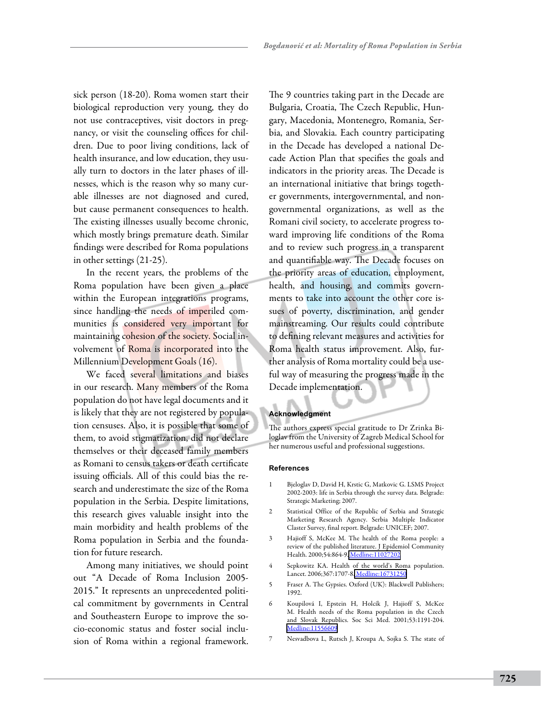sick person (18-20). Roma women start their biological reproduction very young, they do not use contraceptives, visit doctors in pregnancy, or visit the counseling offices for children. Due to poor living conditions, lack of health insurance, and low education, they usually turn to doctors in the later phases of illnesses, which is the reason why so many curable illnesses are not diagnosed and cured, but cause permanent consequences to health. The existing illnesses usually become chronic, which mostly brings premature death. Similar findings were described for Roma populations in other settings (21-25).

In the recent years, the problems of the Roma population have been given a place within the European integrations programs, since handling the needs of imperiled communities is considered very important for maintaining cohesion of the society. Social involvement of Roma is incorporated into the Millennium Development Goals (16).

We faced several limitations and biases in our research. Many members of the Roma population do not have legal documents and it is likely that they are not registered by population censuses. Also, it is possible that some of them, to avoid stigmatization, did not declare themselves or their deceased family members as Romani to census takers or death certificate issuing officials. All of this could bias the research and underestimate the size of the Roma population in the Serbia. Despite limitations, this research gives valuable insight into the main morbidity and health problems of the Roma population in Serbia and the foundation for future research.

Among many initiatives, we should point out "A Decade of Roma Inclusion 2005- 2015." It represents an unprecedented political commitment by governments in Central and Southeastern Europe to improve the socio-economic status and foster social inclusion of Roma within a regional framework.

The 9 countries taking part in the Decade are Bulgaria, Croatia, The Czech Republic, Hungary, Macedonia, Montenegro, Romania, Serbia, and Slovakia. Each country participating in the Decade has developed a national Decade Action Plan that specifies the goals and indicators in the priority areas. The Decade is an international initiative that brings together governments, intergovernmental, and nongovernmental organizations, as well as the Romani civil society, to accelerate progress toward improving life conditions of the Roma and to review such progress in a transparent and quantifiable way. The Decade focuses on the priority areas of education, employment, health, and housing, and commits governments to take into account the other core issues of poverty, discrimination, and gender mainstreaming. Our results could contribute to defining relevant measures and activities for Roma health status improvement. Also, further analysis of Roma mortality could be a useful way of measuring the progress made in the Decade implementation.

### **Acknowledgment**

The authors express special gratitude to Dr Zrinka Biloglav from the University of Zagreb Medical School for her numerous useful and professional suggestions.

#### **References**

- 1 Bjeloglav D, David H, Krstic G, Matkovic G. LSMS Project 2002-2003: life in Serbia through the survey data. Belgrade: Strategic Marketing; 2007.
- 2 Statistical Office of the Republic of Serbia and Strategic Marketing Research Agency. Serbia Multiple Indicator Claster Survey, final report. Belgrade: UNICEF; 2007.
- 3 Hajioff S, McKee M. The health of the Roma people: a review of the published literature. J Epidemiol Community Health. 2000;54:864-9. [Medline:11027202](http://www.ncbi.nlm.nih.gov/sites/entrez?cmd=Retrieve&db=PubMed&list_uids=11027202&dopt=Abstrac)
- 4 Sepkowitz KA. Health of the world's Roma population. Lancet. 2006;367:1707-8. [Medline:16731250](http://www.ncbi.nlm.nih.gov/sites/entrez?cmd=Retrieve&db=PubMed&list_uids=16731250&dopt=Abstrac)
- 5 Fraser A. The Gypsies. Oxford (UK): Blackwell Publishers; 1992.
- 6 Koupilová I, Epstein H, Holcík J, Hajioff S, McKee M. Health needs of the Roma population in the Czech and Slovak Republics. Soc Sci Med. 2001;53:1191-204. [Medline:11556609](http://www.ncbi.nlm.nih.gov/sites/entrez?cmd=Retrieve&db=PubMed&list_uids=11556609&dopt=Abstrac)
- 7 Nesvadbova L, Rutsch J, Kroupa A, Sojka S. The state of